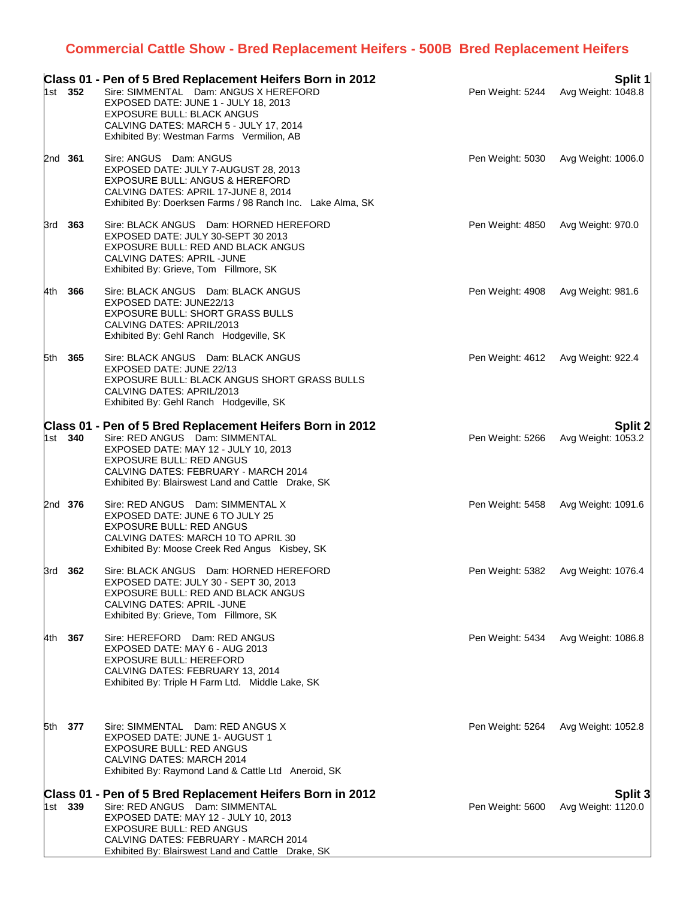## **Commercial Cattle Show - Bred Replacement Heifers - 500B Bred Replacement Heifers**

|       | 1st 352        | Class 01 - Pen of 5 Bred Replacement Heifers Born in 2012<br>Sire: SIMMENTAL Dam: ANGUS X HEREFORD<br>EXPOSED DATE: JUNE 1 - JULY 18, 2013<br><b>EXPOSURE BULL: BLACK ANGUS</b><br>CALVING DATES: MARCH 5 - JULY 17, 2014<br>Exhibited By: Westman Farms Vermilion, AB | Pen Weight: 5244 | Split 1<br>Avg Weight: 1048.8        |
|-------|----------------|------------------------------------------------------------------------------------------------------------------------------------------------------------------------------------------------------------------------------------------------------------------------|------------------|--------------------------------------|
|       | 2nd 361        | Sire: ANGUS Dam: ANGUS<br>EXPOSED DATE: JULY 7-AUGUST 28, 2013<br>EXPOSURE BULL: ANGUS & HEREFORD<br>CALVING DATES: APRIL 17-JUNE 8, 2014<br>Exhibited By: Doerksen Farms / 98 Ranch Inc. Lake Alma, SK                                                                | Pen Weight: 5030 | Avg Weight: 1006.0                   |
|       | 3rd 363        | Sire: BLACK ANGUS Dam: HORNED HEREFORD<br>EXPOSED DATE: JULY 30-SEPT 30 2013<br>EXPOSURE BULL: RED AND BLACK ANGUS<br>CALVING DATES: APRIL-JUNE<br>Exhibited By: Grieve, Tom Fillmore, SK                                                                              | Pen Weight: 4850 | Avg Weight: 970.0                    |
| 4th - | 366            | Sire: BLACK ANGUS Dam: BLACK ANGUS<br>EXPOSED DATE: JUNE22/13<br>EXPOSURE BULL: SHORT GRASS BULLS<br>CALVING DATES: APRIL/2013<br>Exhibited By: Gehl Ranch Hodgeville, SK                                                                                              | Pen Weight: 4908 | Avg Weight: 981.6                    |
|       | 5th 365        | Sire: BLACK ANGUS Dam: BLACK ANGUS<br>EXPOSED DATE: JUNE 22/13<br>EXPOSURE BULL: BLACK ANGUS SHORT GRASS BULLS<br>CALVING DATES: APRIL/2013<br>Exhibited By: Gehl Ranch Hodgeville, SK                                                                                 | Pen Weight: 4612 | Avg Weight: 922.4                    |
|       | 1st 340        | Class 01 - Pen of 5 Bred Replacement Heifers Born in 2012<br>Sire: RED ANGUS Dam: SIMMENTAL<br>EXPOSED DATE: MAY 12 - JULY 10, 2013<br>EXPOSURE BULL: RED ANGUS<br>CALVING DATES: FEBRUARY - MARCH 2014<br>Exhibited By: Blairswest Land and Cattle Drake, SK          | Pen Weight: 5266 | <b>Split 2</b><br>Avg Weight: 1053.2 |
|       | 2nd 376        | Sire: RED ANGUS Dam: SIMMENTAL X<br>EXPOSED DATE: JUNE 6 TO JULY 25<br><b>EXPOSURE BULL: RED ANGUS</b><br>CALVING DATES: MARCH 10 TO APRIL 30<br>Exhibited By: Moose Creek Red Angus Kisbey, SK                                                                        | Pen Weight: 5458 | Avg Weight: 1091.6                   |
|       | 3rd 362        | Sire: BLACK ANGUS Dam: HORNED HEREFORD<br>EXPOSED DATE: JULY 30 - SEPT 30, 2013<br>EXPOSURE BULL: RED AND BLACK ANGUS<br>CALVING DATES: APRIL -JUNE<br>Exhibited By: Grieve, Tom Fillmore, SK                                                                          | Pen Weight: 5382 | Avg Weight: 1076.4                   |
| 4th   | 367            | Sire: HEREFORD Dam: RED ANGUS<br>EXPOSED DATE: MAY 6 - AUG 2013<br><b>EXPOSURE BULL: HEREFORD</b><br>CALVING DATES: FEBRUARY 13, 2014<br>Exhibited By: Triple H Farm Ltd. Middle Lake, SK                                                                              | Pen Weight: 5434 | Avg Weight: 1086.8                   |
|       | 5th <b>377</b> | Sire: SIMMENTAL Dam: RED ANGUS X<br>EXPOSED DATE: JUNE 1- AUGUST 1<br><b>EXPOSURE BULL: RED ANGUS</b><br>CALVING DATES: MARCH 2014<br>Exhibited By: Raymond Land & Cattle Ltd Aneroid, SK                                                                              | Pen Weight: 5264 | Avg Weight: 1052.8                   |
|       | 1st 339        | Class 01 - Pen of 5 Bred Replacement Heifers Born in 2012<br>Sire: RED ANGUS Dam: SIMMENTAL<br>EXPOSED DATE: MAY 12 - JULY 10, 2013<br><b>EXPOSURE BULL: RED ANGUS</b><br>CALVING DATES: FEBRUARY - MARCH 2014<br>Exhibited By: Blairswest Land and Cattle Drake, SK   | Pen Weight: 5600 | Split 3<br>Avg Weight: 1120.0        |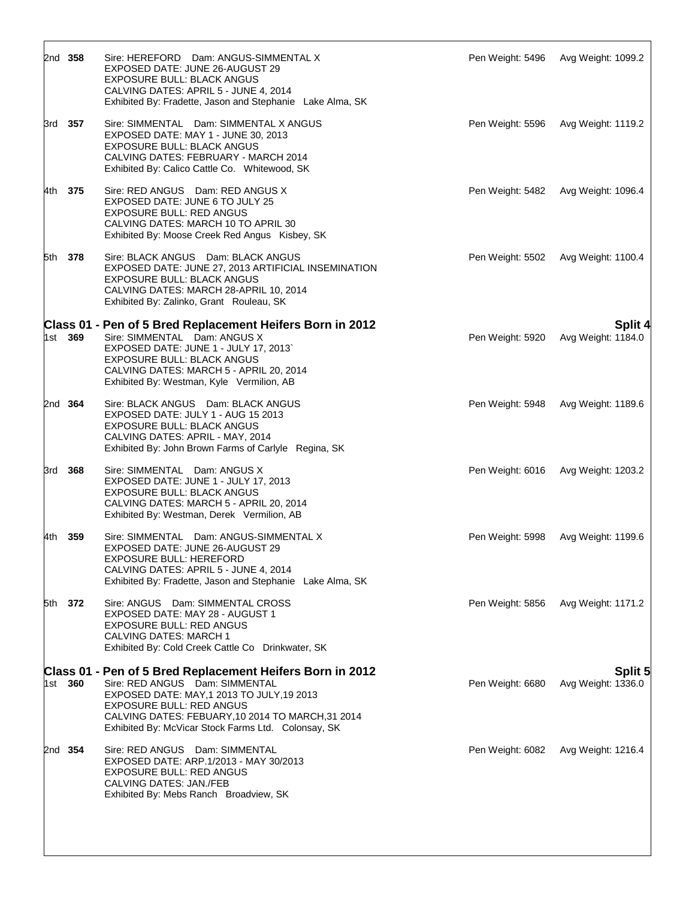|     | 2nd 358 | Sire: HEREFORD Dam: ANGUS-SIMMENTAL X<br>EXPOSED DATE: JUNE 26-AUGUST 29<br><b>EXPOSURE BULL: BLACK ANGUS</b><br>CALVING DATES: APRIL 5 - JUNE 4, 2014<br>Exhibited By: Fradette, Jason and Stephanie Lake Alma, SK                                                                      | Pen Weight: 5496 | Avg Weight: 1099.2                   |
|-----|---------|------------------------------------------------------------------------------------------------------------------------------------------------------------------------------------------------------------------------------------------------------------------------------------------|------------------|--------------------------------------|
|     | 3rd 357 | Sire: SIMMENTAL Dam: SIMMENTAL X ANGUS<br>EXPOSED DATE: MAY 1 - JUNE 30, 2013<br><b>EXPOSURE BULL: BLACK ANGUS</b><br>CALVING DATES: FEBRUARY - MARCH 2014<br>Exhibited By: Calico Cattle Co. Whitewood, SK                                                                              | Pen Weight: 5596 | Avg Weight: 1119.2                   |
|     | 4th 375 | Sire: RED ANGUS Dam: RED ANGUS X<br>EXPOSED DATE: JUNE 6 TO JULY 25<br><b>EXPOSURE BULL: RED ANGUS</b><br>CALVING DATES: MARCH 10 TO APRIL 30<br>Exhibited By: Moose Creek Red Angus Kisbey, SK                                                                                          | Pen Weight: 5482 | Avg Weight: 1096.4                   |
| 5th | 378     | Sire: BLACK ANGUS Dam: BLACK ANGUS<br>EXPOSED DATE: JUNE 27, 2013 ARTIFICIAL INSEMINATION<br>EXPOSURE BULL: BLACK ANGUS<br>CALVING DATES: MARCH 28-APRIL 10, 2014<br>Exhibited By: Zalinko, Grant Rouleau, SK                                                                            | Pen Weight: 5502 | Avg Weight: 1100.4                   |
| 1st | 369     | Class 01 - Pen of 5 Bred Replacement Heifers Born in 2012<br>Sire: SIMMENTAL Dam: ANGUS X<br>EXPOSED DATE: JUNE 1 - JULY 17, 2013`<br>EXPOSURE BULL: BLACK ANGUS<br>CALVING DATES: MARCH 5 - APRIL 20, 2014<br>Exhibited By: Westman, Kyle Vermilion, AB                                 | Pen Weight: 5920 | Split 4<br>Avg Weight: 1184.0        |
|     | 2nd 364 | Sire: BLACK ANGUS Dam: BLACK ANGUS<br>EXPOSED DATE: JULY 1 - AUG 15 2013<br><b>EXPOSURE BULL: BLACK ANGUS</b><br>CALVING DATES: APRIL - MAY, 2014<br>Exhibited By: John Brown Farms of Carlyle Regina, SK                                                                                | Pen Weight: 5948 | Avg Weight: 1189.6                   |
| 3rd | 368     | Sire: SIMMENTAL Dam: ANGUS X<br>EXPOSED DATE: JUNE 1 - JULY 17, 2013<br><b>EXPOSURE BULL: BLACK ANGUS</b><br>CALVING DATES: MARCH 5 - APRIL 20, 2014<br>Exhibited By: Westman, Derek Vermilion, AB                                                                                       | Pen Weight: 6016 | Avg Weight: 1203.2                   |
| 4th | 359     | Sire: SIMMENTAL Dam: ANGUS-SIMMENTAL X<br>EXPOSED DATE: JUNE 26-AUGUST 29<br>EXPOSURE BULL: HEREFORD<br>CALVING DATES: APRIL 5 - JUNE 4, 2014<br>Exhibited By: Fradette, Jason and Stephanie Lake Alma, SK                                                                               | Pen Weight: 5998 | Avg Weight: 1199.6                   |
|     | 5th 372 | Sire: ANGUS Dam: SIMMENTAL CROSS<br>EXPOSED DATE: MAY 28 - AUGUST 1<br><b>EXPOSURE BULL: RED ANGUS</b><br><b>CALVING DATES: MARCH 1</b><br>Exhibited By: Cold Creek Cattle Co Drinkwater, SK                                                                                             | Pen Weight: 5856 | Avg Weight: 1171.2                   |
|     | 1st 360 | Class 01 - Pen of 5 Bred Replacement Heifers Born in 2012<br>Sire: RED ANGUS Dam: SIMMENTAL<br>EXPOSED DATE: MAY, 1 2013 TO JULY, 19 2013<br><b>EXPOSURE BULL: RED ANGUS</b><br>CALVING DATES: FEBUARY, 10 2014 TO MARCH, 31 2014<br>Exhibited By: McVicar Stock Farms Ltd. Colonsay, SK | Pen Weight: 6680 | <b>Split 5</b><br>Avg Weight: 1336.0 |
|     | 2nd 354 | Sire: RED ANGUS Dam: SIMMENTAL<br>EXPOSED DATE: ARP.1/2013 - MAY 30/2013<br><b>EXPOSURE BULL: RED ANGUS</b><br>CALVING DATES: JAN./FEB<br>Exhibited By: Mebs Ranch Broadview, SK                                                                                                         | Pen Weight: 6082 | Avg Weight: 1216.4                   |

 $\sqrt{ }$ 

٦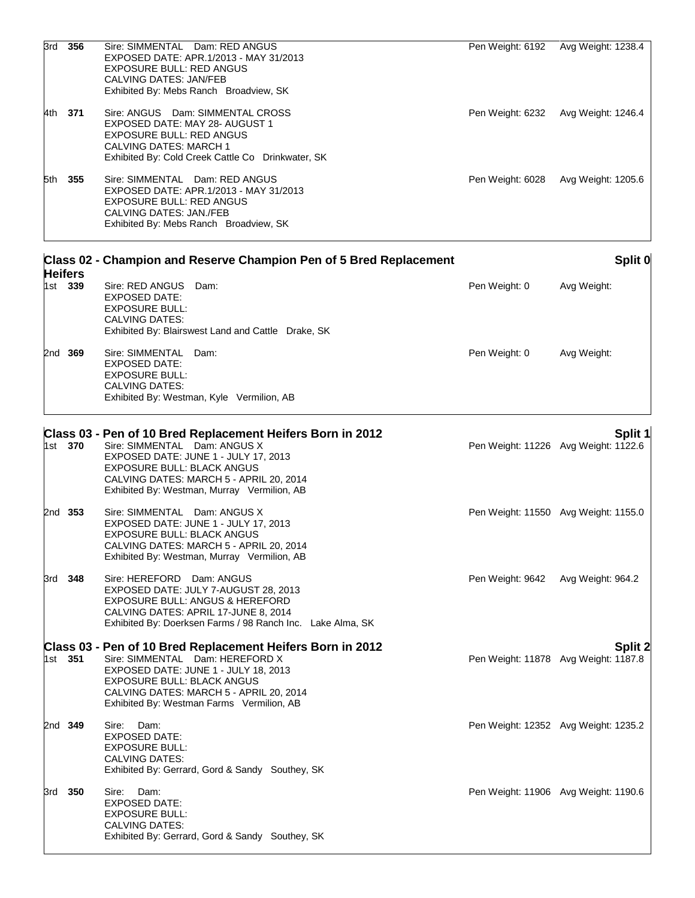|     | 3rd 356        | Sire: SIMMENTAL Dam: RED ANGUS<br>EXPOSED DATE: APR.1/2013 - MAY 31/2013<br><b>EXPOSURE BULL: RED ANGUS</b><br>CALVING DATES: JAN/FEB<br>Exhibited By: Mebs Ranch Broadview, SK                                                                                    | Pen Weight: 6192                     | Avg Weight: 1238.4 |         |
|-----|----------------|--------------------------------------------------------------------------------------------------------------------------------------------------------------------------------------------------------------------------------------------------------------------|--------------------------------------|--------------------|---------|
|     | 4th 371        | Sire: ANGUS Dam: SIMMENTAL CROSS<br>EXPOSED DATE: MAY 28- AUGUST 1<br><b>EXPOSURE BULL: RED ANGUS</b><br>CALVING DATES: MARCH 1<br>Exhibited By: Cold Creek Cattle Co Drinkwater, SK                                                                               | Pen Weight: 6232                     | Avg Weight: 1246.4 |         |
|     | 5th 355        | Sire: SIMMENTAL Dam: RED ANGUS<br>EXPOSED DATE: APR.1/2013 - MAY 31/2013<br><b>EXPOSURE BULL: RED ANGUS</b><br>CALVING DATES: JAN./FEB<br>Exhibited By: Mebs Ranch Broadview, SK                                                                                   | Pen Weight: 6028                     | Avg Weight: 1205.6 |         |
|     | <b>Heifers</b> | Class 02 - Champion and Reserve Champion Pen of 5 Bred Replacement                                                                                                                                                                                                 |                                      |                    | Split 0 |
|     | 1st 339        | Sire: RED ANGUS<br>Dam:<br><b>EXPOSED DATE:</b><br><b>EXPOSURE BULL:</b><br><b>CALVING DATES:</b><br>Exhibited By: Blairswest Land and Cattle Drake, SK                                                                                                            | Pen Weight: 0                        | Avg Weight:        |         |
|     | 2nd 369        | Sire: SIMMENTAL Dam:<br><b>EXPOSED DATE:</b><br><b>EXPOSURE BULL:</b><br><b>CALVING DATES:</b><br>Exhibited By: Westman, Kyle Vermilion, AB                                                                                                                        | Pen Weight: 0                        | Avg Weight:        |         |
|     | 1st 370        | Class 03 - Pen of 10 Bred Replacement Heifers Born in 2012<br>Sire: SIMMENTAL Dam: ANGUS X<br>EXPOSED DATE: JUNE 1 - JULY 17, 2013<br>EXPOSURE BULL: BLACK ANGUS<br>CALVING DATES: MARCH 5 - APRIL 20, 2014<br>Exhibited By: Westman, Murray Vermilion, AB         | Pen Weight: 11226 Avg Weight: 1122.6 |                    | Split 1 |
|     | 2nd 353        | Sire: SIMMENTAL Dam: ANGUS X<br>EXPOSED DATE: JUNE 1 - JULY 17, 2013<br><b>EXPOSURE BULL: BLACK ANGUS</b><br>CALVING DATES: MARCH 5 - APRIL 20, 2014<br>Exhibited By: Westman, Murray Vermilion, AB                                                                | Pen Weight: 11550 Avg Weight: 1155.0 |                    |         |
|     | 3rd 348        | Sire: HEREFORD Dam: ANGUS<br>EXPOSED DATE: JULY 7-AUGUST 28, 2013<br>EXPOSURE BULL: ANGUS & HEREFORD<br>CALVING DATES: APRIL 17-JUNE 8, 2014<br>Exhibited By: Doerksen Farms / 98 Ranch Inc. Lake Alma, SK                                                         | Pen Weight: 9642 Avg Weight: 964.2   |                    |         |
|     | 1st <b>351</b> | Class 03 - Pen of 10 Bred Replacement Heifers Born in 2012<br>Sire: SIMMENTAL Dam: HEREFORD X<br>EXPOSED DATE: JUNE 1 - JULY 18, 2013<br><b>EXPOSURE BULL: BLACK ANGUS</b><br>CALVING DATES: MARCH 5 - APRIL 20, 2014<br>Exhibited By: Westman Farms Vermilion, AB | Pen Weight: 11878 Avg Weight: 1187.8 |                    | Split 2 |
|     | 2nd <b>349</b> | Sire:<br>Dam:<br><b>EXPOSED DATE:</b><br><b>EXPOSURE BULL:</b><br>CALVING DATES:<br>Exhibited By: Gerrard, Gord & Sandy Southey, SK                                                                                                                                | Pen Weight: 12352 Avg Weight: 1235.2 |                    |         |
| 3rd | 350            | Sire: Dam:<br>EXPOSED DATE:<br><b>EXPOSURE BULL:</b><br>CALVING DATES:<br>Exhibited By: Gerrard, Gord & Sandy Southey, SK                                                                                                                                          | Pen Weight: 11906 Avg Weight: 1190.6 |                    |         |